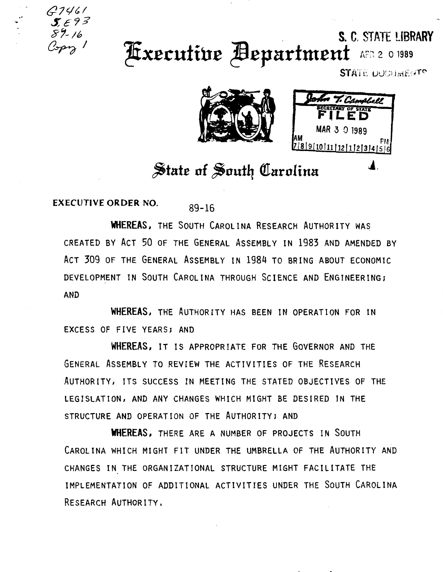

## S. C. STATE LIBRARY **Executive Bepartment** ARR 2 0 1989

STATE DUCLIMENTS



## State of South Carolina

**EXECUTIVE ORDER NO.**  $89 - 16$ 

**WHEREAS, THE SOUTH CAROLINA RESEARCH AUTHORITY WAS** CREATED BY ACT 50 OF THE GENERAL ASSEMBLY IN 1983 AND AMENDED BY ACT 309 OF THE GENERAL ASSEMBLY IN 1984 TO BRING ABOUT ECONOMIC DEVELOPMENT IN SOUTH CAROLINA THROUGH SCIENCE AND ENGINEERING; **AND** 

WHEREAS, THE AUTHORITY HAS BEEN IN OPERATION FOR IN EXCESS OF FIVE YEARS; AND

WHEREAS, IT IS APPROPRIATE FOR THE GOVERNOR AND THE GENERAL ASSEMBLY TO REVIEW THE ACTIVITIES OF THE RESEARCH AUTHORITY, ITS SUCCESS IN MEETING THE STATED OBJECTIVES OF THE LEGISLATION, AND ANY CHANGES WHICH MIGHT BE DESIRED IN THE STRUCTURE AND OPERATION OF THE AUTHORITY; AND

**WHEREAS, THERE ARE A NUMBER OF PROJECTS IN SOUTH** CAROLINA WHICH MIGHT FIT UNDER THE UMBRELLA OF THE AUTHORITY AND CHANGES IN THE ORGANIZATIONAL STRUCTURE MIGHT FACILITATE THE IMPLEMENTATION OF ADDITIONAL ACTIVITIES UNDER THE SOUTH CAROLINA RESEARCH AUTHORITY.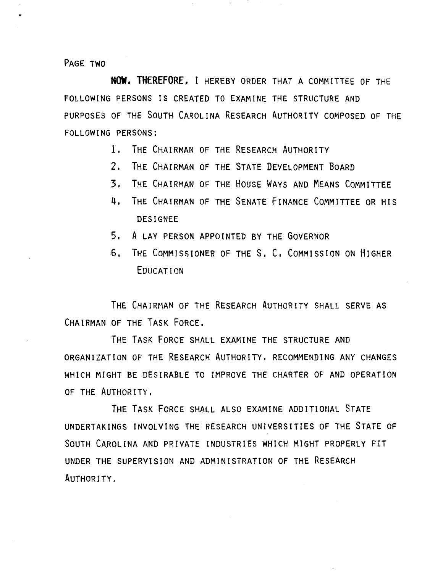PAGE TWO

**NOW, THEREFORE,** I HEREBY ORDER THAT A COMMITTEE OF THE FOLLOWING PERSONS IS CREATED TO EXAMINE THE STRUCTURE AND PURPOSES OF THE SOUTH CAROLINA RESEARCH AUTHORITY COMPOSED OF THE FOLLOWING PERSONS:

- 1. THE CHAIRMAN OF THE RESEARCH AUTHORITY
- 2. THE CHAIRMAN OF THE STATE DEVELOPMENT BOARD
- 3. THE CHAIRMAN OF THE HOUSE WAYS AND MEANS COMMITTEE
- 4, THE CHAIRMAN OF THE SENATE FINANCE COMMITTEE OR HIS DESIGNEE
- 5, A LAY PERSON APPOINTED BY THE GOVERNOR
- 6, THE COMMISSIONER OF THE S. C. COMMISSION ON HIGHER EDUCATION

THE CHAIRMAN OF THE RESEARCH AUTHORITY SHALL SERVE AS CHAIRMAN OF THE TASK FORCE.

THE TASK FORCE SHALL EXAMINE THE STRUCTURE AND ORGANIZATION OF THE RESEARCH AUTHORITY, RECOMMENDING ANY CHANGES WHICH MIGHT BE DESIRABLE TO IMPROVE THE CHARTER OF AND OPERATION OF THE AUTHORITY.

THE TASK FORCE SHALL ALSO EXAMINE ADDITIONAL STATE UNDERTAKINGS INVOLVING THE RESEARCH UNIVERSITIES OF THE STATE OF SOUTH CAROLINA AND PRIVATE INDUSTRIES WHICH MIGHT PROPERLY FIT UNDER THE SUPERVISION AND ADMINISTRATION OF THE RESEARCH AUTHORITY.